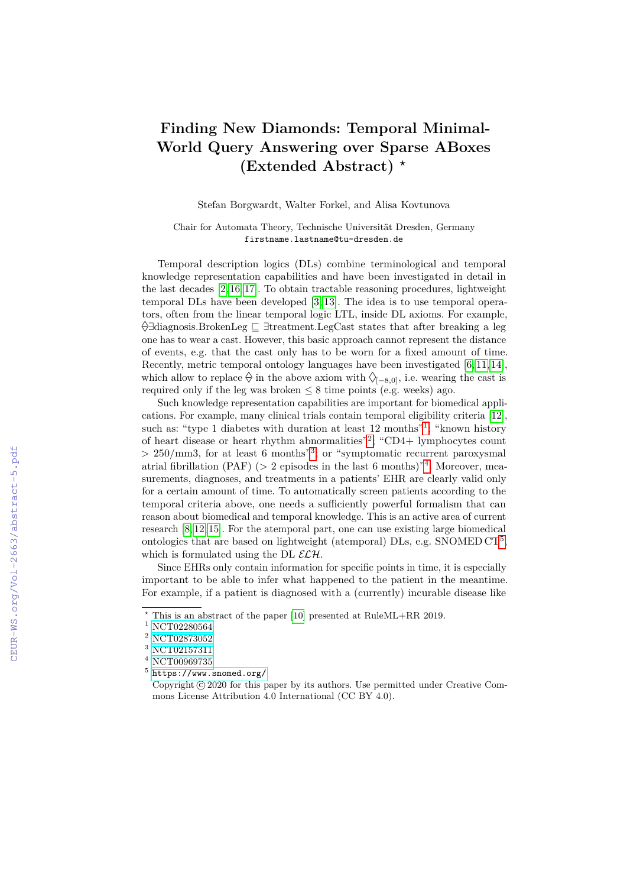## **Finding New Diamonds: Temporal Minimal-World Query Answering over Sparse ABoxes (Extended Abstract)** *?*

Stefan Borgwardt, Walter Forkel, and Alisa Kovtunova

Chair for Automata Theory, Technische Universität Dresden, Germany firstname.lastname@tu-dresden.de

Temporal description logics (DLs) combine terminological and temporal knowledge representation capabilities and have been investigated in detail in the last decades [\[2,](#page--1-0) [16,](#page--1-1) [17\]](#page--1-2). To obtain tractable reasoning procedures, lightweight temporal DLs have been developed [\[3,](#page--1-3) [13\]](#page--1-4). The idea is to use temporal operators, often from the linear temporal logic LTL, inside DL axioms. For example,  $\Diamond$ ∃diagnosis.BrokenLeg  $\sqsubseteq$  ∃treatment.LegCast states that after breaking a leg one has to wear a cast. However, this basic approach cannot represent the distance of events, e.g. that the cast only has to be worn for a fixed amount of time. Recently, metric temporal ontology languages have been investigated [\[6,](#page--1-5) [11,](#page--1-6) [14\]](#page--1-7), which allow to replace  $\varphi$  in the above axiom with  $\Diamond_{[-8,0]},$  i.e. wearing the cast is required only if the leg was broken  $\leq 8$  time points (e.g. weeks) ago.

Such knowledge representation capabilities are important for biomedical applications. For example, many clinical trials contain temporal eligibility criteria [\[12\]](#page--1-8), such as: "type [1](#page-0-0) diabetes with duration at least 12 months"<sup>1</sup>; "known history of heart disease or heart rhythm abnormalities"[2](#page-0-1) ; "CD4+ lymphocytes count  $> 250/\text{mm}$ [3](#page-0-2), for at least 6 months<sup>3</sup>; or "symptomatic recurrent paroxysmal atrial fibrillation (PAF) ( $> 2$  episodes in the last 6 months)<sup>"[4](#page-0-3)</sup>. Moreover, measurements, diagnoses, and treatments in a patients' EHR are clearly valid only for a certain amount of time. To automatically screen patients according to the temporal criteria above, one needs a sufficiently powerful formalism that can reason about biomedical and temporal knowledge. This is an active area of current research [\[8,](#page--1-9) [12,](#page--1-8) [15\]](#page--1-10). For the atemporal part, one can use existing large biomedical ontologies that are based on lightweight (atemporal) DLs, e.g. SNOMED CT<sup>[5](#page-0-4)</sup>, which is formulated using the DL  $\mathcal{ELH}$ .

Since EHRs only contain information for specific points in time, it is especially important to be able to infer what happened to the patient in the meantime. For example, if a patient is diagnosed with a (currently) incurable disease like

*<sup>?</sup>* This is an abstract of the paper [\[10\]](#page--1-11) presented at RuleML+RR 2019.

<span id="page-0-0"></span> $^{\rm 1}$  [NCT02280564](https://clinicaltrials.gov/ct2/show/NCT02280564)

<span id="page-0-1"></span> $^2$  [NCT02873052](https://clinicaltrials.gov/ct2/show/NCT02873052)  $\,$ 

<span id="page-0-2"></span> $^3$  [NCT02157311](https://clinicaltrials.gov/ct2/show/NCT02157311)  $\,$ 

<span id="page-0-3"></span> $^4$  [NCT00969735](https://clinicaltrials.gov/ct2/show/NCT00969735)  $\,$ 

<span id="page-0-4"></span> $5$  <https://www.snomed.org/>

Copyright  $\odot$  2020 for this paper by its authors. Use permitted under Creative Commons License Attribution 4.0 International (CC BY 4.0).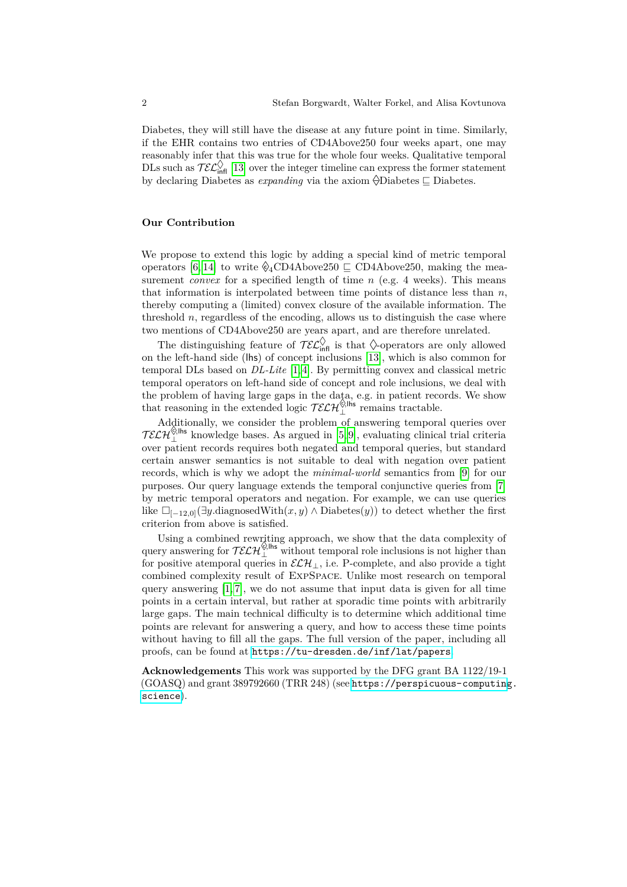Diabetes, they will still have the disease at any future point in time. Similarly, if the EHR contains two entries of CD4Above250 four weeks apart, one may reasonably infer that this was true for the whole four weeks. Qualitative temporal DLs such as  $\mathcal{TE}^{\diamond}_{\text{infl}}$  [\[13\]](#page-2-0) over the integer timeline can express the former statement by declaring Diabetes as *expanding* via the axiom  $\Diamond$ Diabetes  $\Box$  Diabetes.

## **Our Contribution**

We propose to extend this logic by adding a special kind of metric temporal operators [\[6,](#page-2-1) [14\]](#page-2-2) to write  $\hat{\mathcal{C}}_4$ CD4Above250  $\subseteq$  CD4Above250, making the measurement *convex* for a specified length of time *n* (e.g. 4 weeks). This means that information is interpolated between time points of distance less than  $n$ , thereby computing a (limited) convex closure of the available information. The threshold  $n$ , regardless of the encoding, allows us to distinguish the case where two mentions of CD4Above250 are years apart, and are therefore unrelated.

The distinguishing feature of  $\overline{\mathcal{TL}}_{\text{infl}}^{\Diamond}$  is that  $\Diamond$ -operators are only allowed on the left-hand side (lhs) of concept inclusions [\[13\]](#page-2-0), which is also common for temporal DLs based on *DL-Lite* [\[1,](#page-2-3) [4\]](#page-2-4). By permitting convex and classical metric temporal operators on left-hand side of concept and role inclusions, we deal with the problem of having large gaps in the data, e.g. in patient records. We show that reasoning in the extended logic  $\mathcal{TELH}^{\diamond, \mathsf{Ins}}_{\perp}$  remains tractable.

Additionally, we consider the problem of answering temporal queries over  $TELH<sub>2</sub><sup>8</sup>,<sup>8</sup>$  knowledge bases. As argued in [\[5,](#page-2-5) [9\]](#page-2-6), evaluating clinical trial criteria over patient records requires both negated and temporal queries, but standard certain answer semantics is not suitable to deal with negation over patient records, which is why we adopt the *minimal-world* semantics from [\[9\]](#page-2-6) for our purposes. Our query language extends the temporal conjunctive queries from [\[7\]](#page-2-7) by metric temporal operators and negation. For example, we can use queries like  $\Box_{[-12,0]}(\exists y \text{.diagnosedWith}(x, y) \land \text{Diabetes}(y))$  to detect whether the first criterion from above is satisfied.

Using a combined rewriting approach, we show that the data complexity of query answering for  $\mathcal{TELH}^{\diamond, \mathsf{lhs}}_{\perp}$  without temporal role inclusions is not higher than for positive atemporal queries in  $\mathcal{ELH}_\perp$ , i.e. P-complete, and also provide a tight combined complexity result of ExpSpace. Unlike most research on temporal query answering  $[1, 7]$  $[1, 7]$ , we do not assume that input data is given for all time points in a certain interval, but rather at sporadic time points with arbitrarily large gaps. The main technical difficulty is to determine which additional time points are relevant for answering a query, and how to access these time points without having to fill all the gaps. The full version of the paper, including all proofs, can be found at <https://tu-dresden.de/inf/lat/papers>.

**Acknowledgements** This work was supported by the DFG grant BA 1122/19-1 (GOASQ) and grant 389792660 (TRR 248) (see [https://perspicuous-computing](https://perspicuous-computing.science). [science](https://perspicuous-computing.science)).